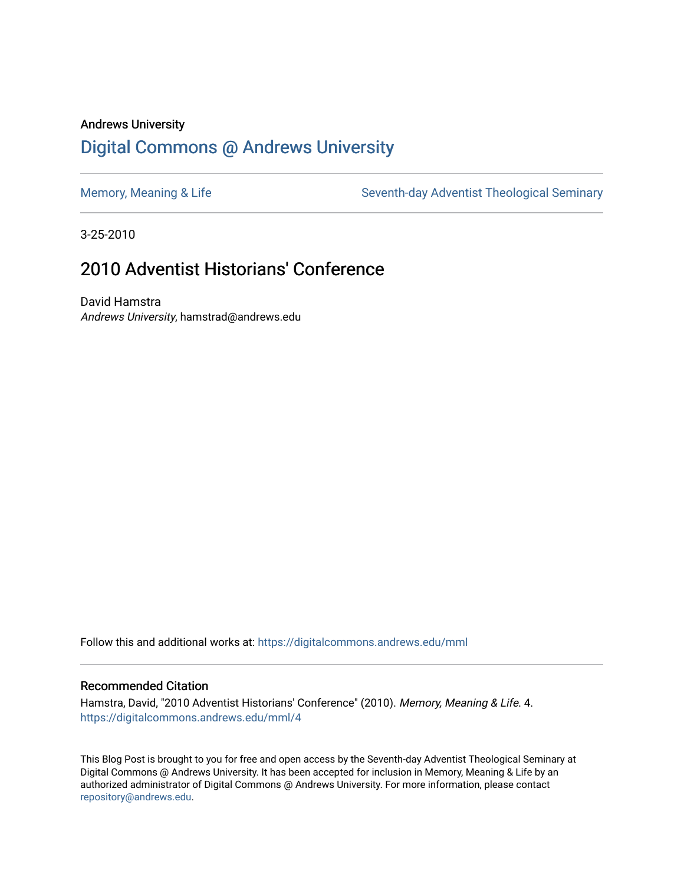## Andrews University [Digital Commons @ Andrews University](https://digitalcommons.andrews.edu/)

[Memory, Meaning & Life](https://digitalcommons.andrews.edu/mml) Seventh-day Adventist Theological Seminary

3-25-2010

## 2010 Adventist Historians' Conference

David Hamstra Andrews University, hamstrad@andrews.edu

Follow this and additional works at: [https://digitalcommons.andrews.edu/mml](https://digitalcommons.andrews.edu/mml?utm_source=digitalcommons.andrews.edu%2Fmml%2F4&utm_medium=PDF&utm_campaign=PDFCoverPages) 

#### Recommended Citation

Hamstra, David, "2010 Adventist Historians' Conference" (2010). Memory, Meaning & Life. 4. [https://digitalcommons.andrews.edu/mml/4](https://digitalcommons.andrews.edu/mml/4?utm_source=digitalcommons.andrews.edu%2Fmml%2F4&utm_medium=PDF&utm_campaign=PDFCoverPages) 

This Blog Post is brought to you for free and open access by the Seventh-day Adventist Theological Seminary at Digital Commons @ Andrews University. It has been accepted for inclusion in Memory, Meaning & Life by an authorized administrator of Digital Commons @ Andrews University. For more information, please contact [repository@andrews.edu](mailto:repository@andrews.edu).